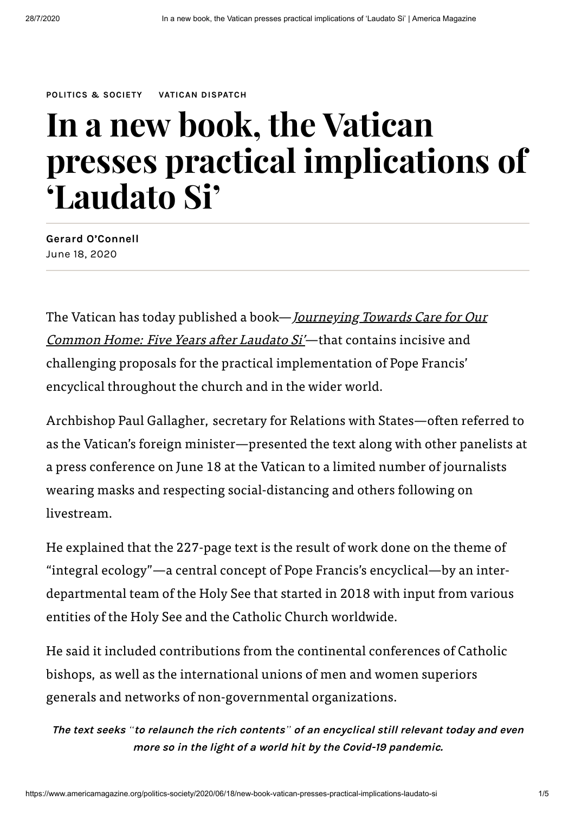**[POLITICS](https://www.americamagazine.org/topic/politics-society) & SOCIETY VATICAN [DISPATCH](https://www.americamagazine.org/section/vatican-dispatch)**

# **In a new book, the Vatican presses practical implications of 'Laudato Si'**

**Gerard [O'Connell](https://www.americamagazine.org/voices/gerard-oconnell)** June 18, 2020

The Vatican has today published a book— <u>[Journeying](https://www.youtube.com/watch?v=dncPajqJg20) Towards Care for Our</u> Common Home: Five Years after Laudato Si'—that contains incisive and challenging proposals for the practical implementation of Pope Francis' encyclical throughout the church and in the wider world.

Archbishop Paul Gallagher, secretary for Relations with States—often referred to as the Vatican's foreign minister—presented the text along with other panelists at a press conference on June 18 at the Vatican to a limited number of journalists wearing masks and respecting social-distancing and others following on livestream.

He explained that the 227-page text is the result of work done on the theme of "integral ecology"—a central concept of Pope Francis's encyclical—by an interdepartmental team of the Holy See that started in 2018 with input from various entities of the Holy See and the Catholic Church worldwide.

He said it included contributions from the continental conferences of Catholic bishops, as well as the international unions of men and women superiors generals and networks of non-governmental organizations.

The text seeks "to relaunch the rich contents" of an encyclical still relevant today and even **more so in the light of <sup>a</sup> world hit by the Covid-19 pandemic.**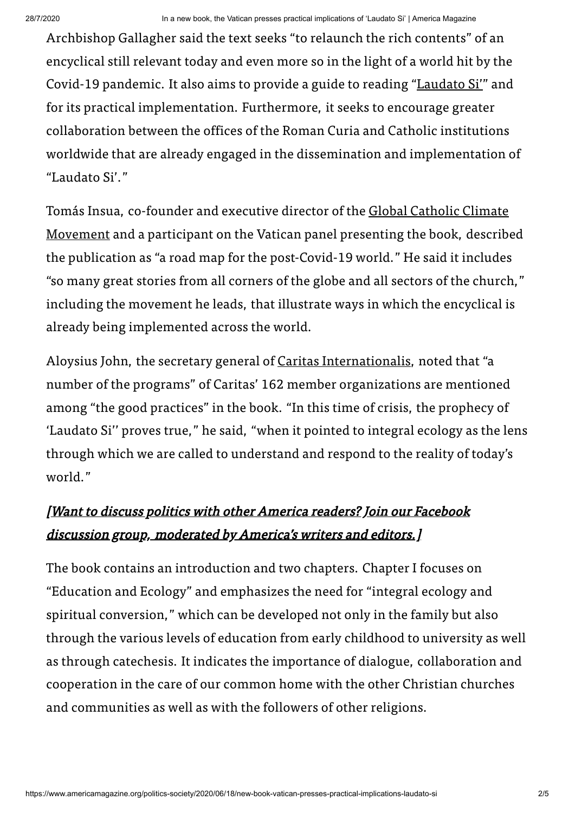Archbishop Gallagher said the text seeks "to relaunch the rich contents" of an encyclical still relevant today and even more so in the light of a world hit by the Covid-19 pandemic. It also aims to provide a guide to reading "[Laudato](http://w2.vatican.va/content/francesco/en/encyclicals/documents/papa-francesco_20150524_enciclica-laudato-si.html) Si'" and for its practical implementation. Furthermore, it seeks to encourage greater collaboration between the offices of the Roman Curia and Catholic institutions worldwide that are already engaged in the dissemination and implementation of "Laudato Si'."

Tomás Insua, co-founder and executive director of the Global Catholic Climate Movement and a [participant](https://catholicclimatemovement.global/) on the Vatican panel presenting the book, described the publication as "a road map for the post-Covid-19 world." He said it includes "so many great stories from all corners of the globe and all sectors of the church," including the movement he leads, that illustrate ways in which the encyclical is already being implemented across the world.

Aloysius John, the secretary general of Caritas [Internationalis,](https://www.caritas.org/) noted that "a number of the programs" of Caritas' 162 member organizations are mentioned among "the good practices" in the book. "In this time of crisis, the prophecy of 'Laudato Si'' proves true," he said, "when it pointed to integral ecology as the lens through which we are called to understand and respond to the reality of today's world."

## [Want to discuss politics with other America readers? Join our Facebook discussion group, [moderated](https://www.facebook.com/groups/2039874489629187/) by America's writers and editors.]

The book contains an introduction and two chapters. Chapter I focuses on "Education and Ecology" and emphasizes the need for "integral ecology and spiritual conversion," which can be developed not only in the family but also through the various levels of education from early childhood to university as well as through catechesis. It indicates the importance of dialogue, collaboration and cooperation in the care of our common home with the other Christian churches and communities as well as with the followers of other religions.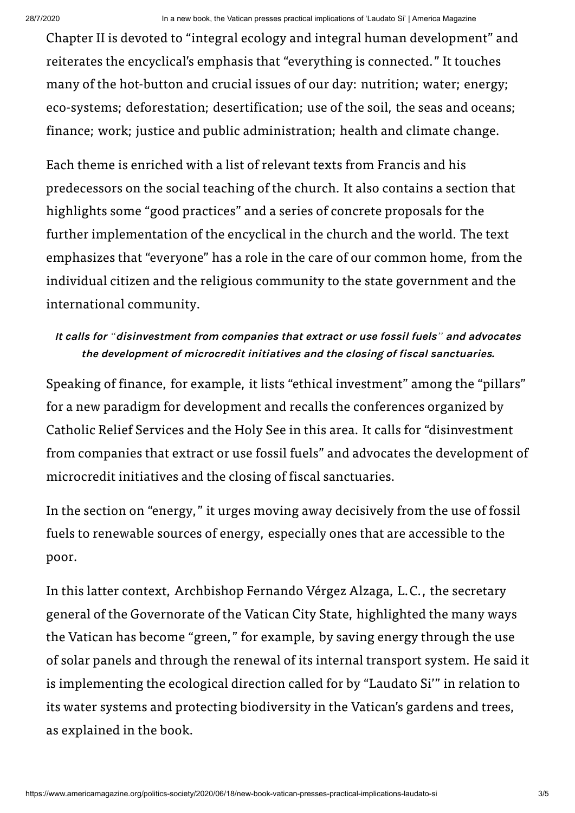Chapter II is devoted to "integral ecology and integral human development" and reiterates the encyclical's emphasis that "everything is connected." It touches many of the hot-button and crucial issues of our day: nutrition; water; energy; eco-systems; deforestation; desertification; use of the soil, the seas and oceans; finance; work; justice and public administration; health and climate change.

Each theme is enriched with a list of relevant texts from Francis and his predecessors on the social teaching of the church. It also contains a section that highlights some "good practices" and a series of concrete proposals for the further implementation of the encyclical in the church and the world. The text emphasizes that "everyone" has a role in the care of our common home, from the individual citizen and the religious community to the state government and the international community.

#### **It calls for** *"***disinvestment from companies that extract or use fossil fuels***"* **and advocates the development of microcredit initiatives and the closing of fiscal sanctuaries.**

Speaking of finance, for example, it lists "ethical investment" among the "pillars" for a new paradigm for development and recalls the conferences organized by Catholic Relief Services and the Holy See in this area. It calls for "disinvestment from companies that extract or use fossil fuels" and advocates the development of microcredit initiatives and the closing of fiscal sanctuaries.

In the section on "energy," it urges moving away decisively from the use of fossil fuels to renewable sources of energy, especially ones that are accessible to the poor.

In this latter context, Archbishop Fernando Vérgez Alzaga, L.C., the secretary general of the Governorate of the Vatican City State, highlighted the many ways the Vatican has become "green," for example, by saving energy through the use of solar panels and through the renewal of its internal transport system. He said it is implementing the ecological direction called for by "Laudato Si'" in relation to its water systems and protecting biodiversity in the Vatican's gardens and trees, as explained in the book.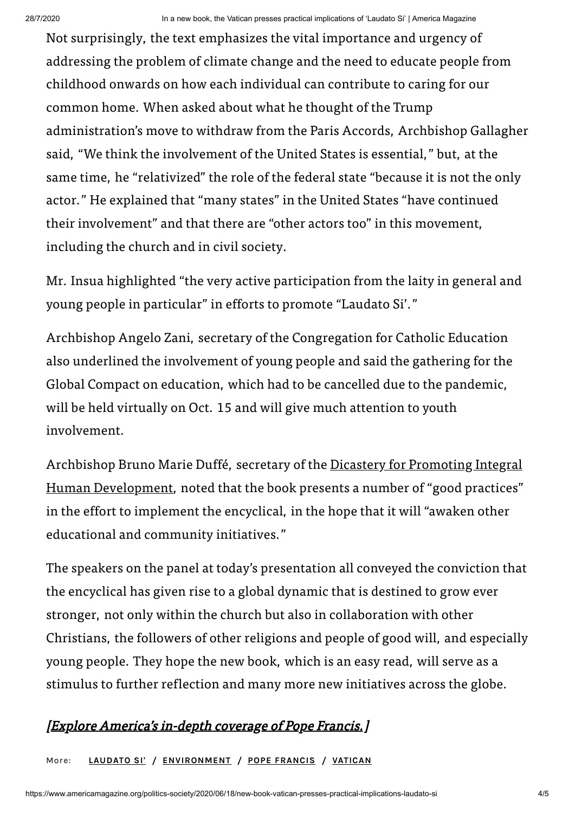Not surprisingly, the text emphasizes the vital importance and urgency of addressing the problem of climate change and the need to educate people from childhood onwards on how each individual can contribute to caring for our common home. When asked about what he thought of the Trump administration's move to withdraw from the Paris Accords, Archbishop Gallagher said, "We think the involvement of the United States is essential," but, at the same time, he "relativized" the role of the federal state "because it is not the only actor." He explained that "many states" in the United States "have continued their involvement" and that there are "other actors too" in this movement, including the church and in civil society.

Mr. Insua highlighted "the very active participation from the laity in general and young people in particular" in efforts to promote "Laudato Si'."

Archbishop Angelo Zani, secretary of the Congregation for Catholic Education also underlined the involvement of young people and said the gathering for the Global Compact on education, which had to be cancelled due to the pandemic, will be held virtually on Oct. 15 and will give much attention to youth involvement.

Archbishop Bruno Marie Duffé, secretary of the Dicastery for Promoting Integral Human [Development,](http://www.humandevelopment.va/en.html) noted that the book presents a number of "good practices" in the effort to implement the encyclical, in the hope that it will "awaken other educational and community initiatives."

The speakers on the panel at today's presentation all conveyed the conviction that the encyclical has given rise to a global dynamic that is destined to grow ever stronger, not only within the church but also in collaboration with other Christians, the followers of other religions and people of good will, and especially young people. They hope the new book, which is an easy read, will serve as a stimulus to further reflection and many more new initiatives across the globe.

### [Explore America's [in-depth](https://www.americamagazine.org/pope-francis?utm_source=Website&utm_medium=inline_promo&utm_campaign=pope_francis_special_topic_page) coverage of Pope Francis.]

More: **[LAUDATO](https://www.americamagazine.org/topic/laudato-si) SI'** / **[ENVIRONMENT](https://www.americamagazine.org/topic/environment)** / **POPE [FRANCIS](https://www.americamagazine.org/topic/pope-francis)** / **[VATICAN](https://www.americamagazine.org/topic/vatican)**